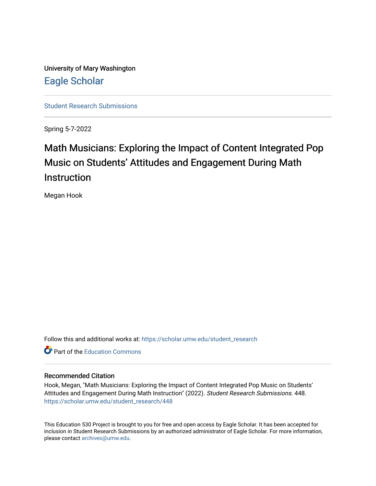University of Mary Washington [Eagle Scholar](https://scholar.umw.edu/) 

[Student Research Submissions](https://scholar.umw.edu/student_research) 

Spring 5-7-2022

# Math Musicians: Exploring the Impact of Content Integrated Pop Music on Students' Attitudes and Engagement During Math **Instruction**

Megan Hook

Follow this and additional works at: [https://scholar.umw.edu/student\\_research](https://scholar.umw.edu/student_research?utm_source=scholar.umw.edu%2Fstudent_research%2F448&utm_medium=PDF&utm_campaign=PDFCoverPages)

**C** Part of the [Education Commons](https://network.bepress.com/hgg/discipline/784?utm_source=scholar.umw.edu%2Fstudent_research%2F448&utm_medium=PDF&utm_campaign=PDFCoverPages)

### Recommended Citation

Hook, Megan, "Math Musicians: Exploring the Impact of Content Integrated Pop Music on Students' Attitudes and Engagement During Math Instruction" (2022). Student Research Submissions. 448. [https://scholar.umw.edu/student\\_research/448](https://scholar.umw.edu/student_research/448?utm_source=scholar.umw.edu%2Fstudent_research%2F448&utm_medium=PDF&utm_campaign=PDFCoverPages)

This Education 530 Project is brought to you for free and open access by Eagle Scholar. It has been accepted for inclusion in Student Research Submissions by an authorized administrator of Eagle Scholar. For more information, please contact [archives@umw.edu.](mailto:archives@umw.edu)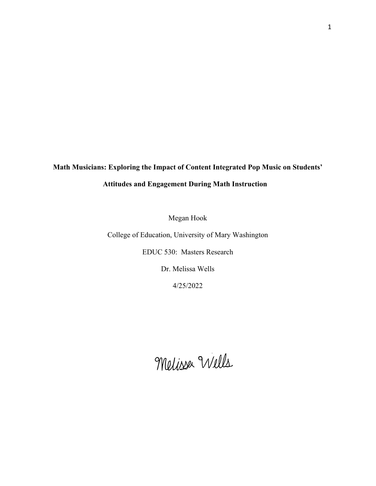# **Math Musicians: Exploring the Impact of Content Integrated Pop Music on Students' Attitudes and Engagement During Math Instruction**

Megan Hook

College of Education, University of Mary Washington

EDUC 530: Masters Research

Dr. Melissa Wells

4/25/2022

Melisse Wells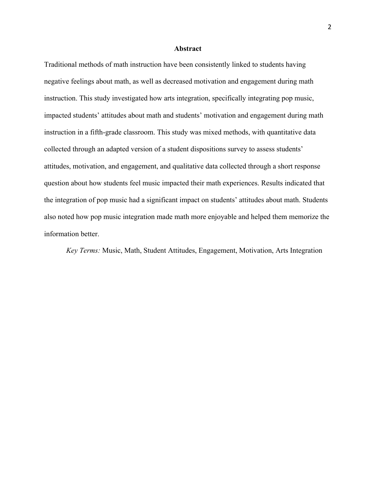#### **Abstract**

Traditional methods of math instruction have been consistently linked to students having negative feelings about math, as well as decreased motivation and engagement during math instruction. This study investigated how arts integration, specifically integrating pop music, impacted students' attitudes about math and students' motivation and engagement during math instruction in a fifth-grade classroom. This study was mixed methods, with quantitative data collected through an adapted version of a student dispositions survey to assess students' attitudes, motivation, and engagement, and qualitative data collected through a short response question about how students feel music impacted their math experiences. Results indicated that the integration of pop music had a significant impact on students' attitudes about math. Students also noted how pop music integration made math more enjoyable and helped them memorize the information better.

*Key Terms:* Music, Math, Student Attitudes, Engagement, Motivation, Arts Integration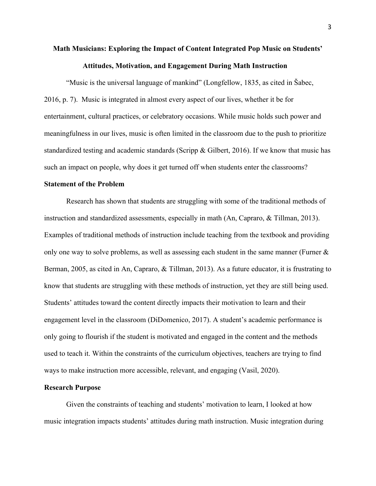# **Math Musicians: Exploring the Impact of Content Integrated Pop Music on Students' Attitudes, Motivation, and Engagement During Math Instruction**

 "Music is the universal language of mankind" (Longfellow, 1835, as cited in Šabec, 2016, p. 7). Music is integrated in almost every aspect of our lives, whether it be for entertainment, cultural practices, or celebratory occasions. While music holds such power and meaningfulness in our lives, music is often limited in the classroom due to the push to prioritize standardized testing and academic standards (Scripp & Gilbert, 2016). If we know that music has such an impact on people, why does it get turned off when students enter the classrooms?

### **Statement of the Problem**

Research has shown that students are struggling with some of the traditional methods of instruction and standardized assessments, especially in math (An, Capraro, & Tillman, 2013). Examples of traditional methods of instruction include teaching from the textbook and providing only one way to solve problems, as well as assessing each student in the same manner (Furner  $\&$ Berman, 2005, as cited in An, Capraro, & Tillman, 2013). As a future educator, it is frustrating to know that students are struggling with these methods of instruction, yet they are still being used. Students' attitudes toward the content directly impacts their motivation to learn and their engagement level in the classroom (DiDomenico, 2017). A student's academic performance is only going to flourish if the student is motivated and engaged in the content and the methods used to teach it. Within the constraints of the curriculum objectives, teachers are trying to find ways to make instruction more accessible, relevant, and engaging (Vasil, 2020).

#### **Research Purpose**

 Given the constraints of teaching and students' motivation to learn, I looked at how music integration impacts students' attitudes during math instruction. Music integration during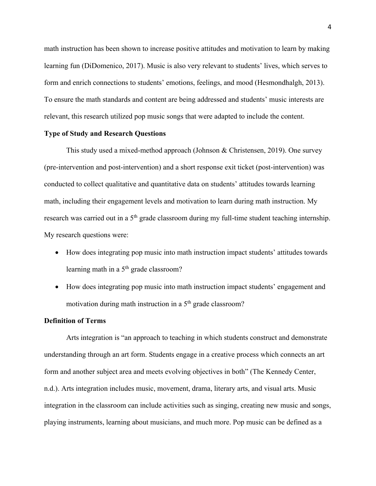math instruction has been shown to increase positive attitudes and motivation to learn by making learning fun (DiDomenico, 2017). Music is also very relevant to students' lives, which serves to form and enrich connections to students' emotions, feelings, and mood (Hesmondhalgh, 2013). To ensure the math standards and content are being addressed and students' music interests are relevant, this research utilized pop music songs that were adapted to include the content.

#### **Type of Study and Research Questions**

 This study used a mixed-method approach (Johnson & Christensen, 2019). One survey (pre-intervention and post-intervention) and a short response exit ticket (post-intervention) was conducted to collect qualitative and quantitative data on students' attitudes towards learning math, including their engagement levels and motivation to learn during math instruction. My research was carried out in a 5<sup>th</sup> grade classroom during my full-time student teaching internship. My research questions were:

- How does integrating pop music into math instruction impact students' attitudes towards learning math in a 5<sup>th</sup> grade classroom?
- How does integrating pop music into math instruction impact students' engagement and motivation during math instruction in a  $5<sup>th</sup>$  grade classroom?

## **Definition of Terms**

 Arts integration is "an approach to teaching in which students construct and demonstrate understanding through an art form. Students engage in a creative process which connects an art form and another subject area and meets evolving objectives in both" (The Kennedy Center, n.d.). Arts integration includes music, movement, drama, literary arts, and visual arts. Music integration in the classroom can include activities such as singing, creating new music and songs, playing instruments, learning about musicians, and much more. Pop music can be defined as a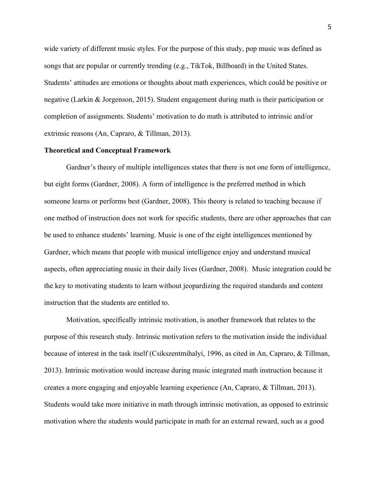wide variety of different music styles. For the purpose of this study, pop music was defined as songs that are popular or currently trending (e.g., TikTok, Billboard) in the United States. Students' attitudes are emotions or thoughts about math experiences, which could be positive or negative (Larkin & Jorgenson, 2015). Student engagement during math is their participation or completion of assignments. Students' motivation to do math is attributed to intrinsic and/or extrinsic reasons (An, Capraro, & Tillman, 2013).

#### **Theoretical and Conceptual Framework**

Gardner's theory of multiple intelligences states that there is not one form of intelligence, but eight forms (Gardner, 2008). A form of intelligence is the preferred method in which someone learns or performs best (Gardner, 2008). This theory is related to teaching because if one method of instruction does not work for specific students, there are other approaches that can be used to enhance students' learning. Music is one of the eight intelligences mentioned by Gardner, which means that people with musical intelligence enjoy and understand musical aspects, often appreciating music in their daily lives (Gardner, 2008). Music integration could be the key to motivating students to learn without jeopardizing the required standards and content instruction that the students are entitled to.

Motivation, specifically intrinsic motivation, is another framework that relates to the purpose of this research study. Intrinsic motivation refers to the motivation inside the individual because of interest in the task itself (Csikszentmihalyi, 1996, as cited in An, Capraro, & Tillman, 2013). Intrinsic motivation would increase during music integrated math instruction because it creates a more engaging and enjoyable learning experience (An, Capraro, & Tillman, 2013). Students would take more initiative in math through intrinsic motivation, as opposed to extrinsic motivation where the students would participate in math for an external reward, such as a good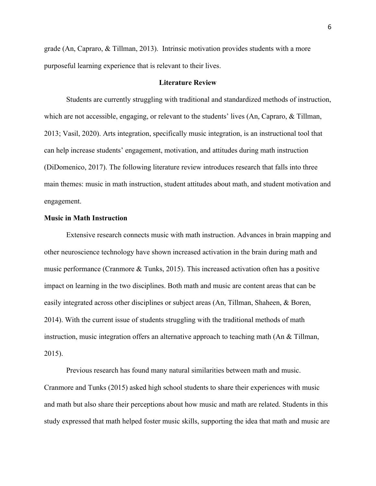grade (An, Capraro, & Tillman, 2013). Intrinsic motivation provides students with a more purposeful learning experience that is relevant to their lives.

#### **Literature Review**

Students are currently struggling with traditional and standardized methods of instruction, which are not accessible, engaging, or relevant to the students' lives (An, Capraro, & Tillman, 2013; Vasil, 2020). Arts integration, specifically music integration, is an instructional tool that can help increase students' engagement, motivation, and attitudes during math instruction (DiDomenico, 2017). The following literature review introduces research that falls into three main themes: music in math instruction, student attitudes about math, and student motivation and engagement.

#### **Music in Math Instruction**

Extensive research connects music with math instruction. Advances in brain mapping and other neuroscience technology have shown increased activation in the brain during math and music performance (Cranmore & Tunks, 2015). This increased activation often has a positive impact on learning in the two disciplines. Both math and music are content areas that can be easily integrated across other disciplines or subject areas (An, Tillman, Shaheen, & Boren, 2014). With the current issue of students struggling with the traditional methods of math instruction, music integration offers an alternative approach to teaching math (An & Tillman, 2015).

 Previous research has found many natural similarities between math and music. Cranmore and Tunks (2015) asked high school students to share their experiences with music and math but also share their perceptions about how music and math are related. Students in this study expressed that math helped foster music skills, supporting the idea that math and music are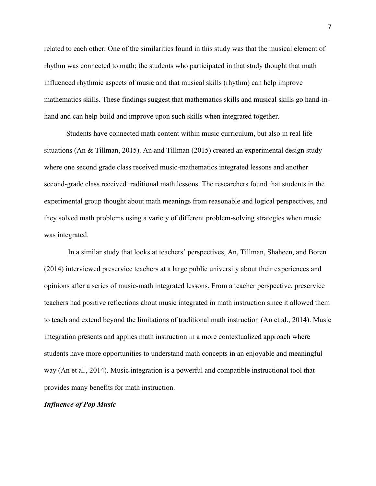related to each other. One of the similarities found in this study was that the musical element of rhythm was connected to math; the students who participated in that study thought that math influenced rhythmic aspects of music and that musical skills (rhythm) can help improve mathematics skills. These findings suggest that mathematics skills and musical skills go hand-inhand and can help build and improve upon such skills when integrated together.

 Students have connected math content within music curriculum, but also in real life situations (An & Tillman, 2015). An and Tillman (2015) created an experimental design study where one second grade class received music-mathematics integrated lessons and another second-grade class received traditional math lessons. The researchers found that students in the experimental group thought about math meanings from reasonable and logical perspectives, and they solved math problems using a variety of different problem-solving strategies when music was integrated.

In a similar study that looks at teachers' perspectives, An, Tillman, Shaheen, and Boren (2014) interviewed preservice teachers at a large public university about their experiences and opinions after a series of music-math integrated lessons. From a teacher perspective, preservice teachers had positive reflections about music integrated in math instruction since it allowed them to teach and extend beyond the limitations of traditional math instruction (An et al., 2014). Music integration presents and applies math instruction in a more contextualized approach where students have more opportunities to understand math concepts in an enjoyable and meaningful way (An et al., 2014). Music integration is a powerful and compatible instructional tool that provides many benefits for math instruction.

#### *Influence of Pop Music*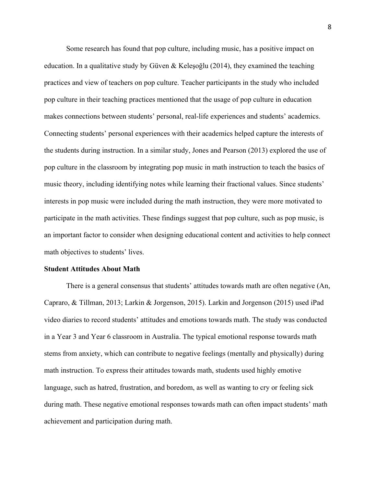Some research has found that pop culture, including music, has a positive impact on education. In a qualitative study by Güven & Kelesoğlu (2014), they examined the teaching practices and view of teachers on pop culture. Teacher participants in the study who included pop culture in their teaching practices mentioned that the usage of pop culture in education makes connections between students' personal, real-life experiences and students' academics. Connecting students' personal experiences with their academics helped capture the interests of the students during instruction. In a similar study, Jones and Pearson (2013) explored the use of pop culture in the classroom by integrating pop music in math instruction to teach the basics of music theory, including identifying notes while learning their fractional values. Since students' interests in pop music were included during the math instruction, they were more motivated to participate in the math activities. These findings suggest that pop culture, such as pop music, is an important factor to consider when designing educational content and activities to help connect math objectives to students' lives.

#### **Student Attitudes About Math**

 There is a general consensus that students' attitudes towards math are often negative (An, Capraro, & Tillman, 2013; Larkin & Jorgenson, 2015). Larkin and Jorgenson (2015) used iPad video diaries to record students' attitudes and emotions towards math. The study was conducted in a Year 3 and Year 6 classroom in Australia. The typical emotional response towards math stems from anxiety, which can contribute to negative feelings (mentally and physically) during math instruction. To express their attitudes towards math, students used highly emotive language, such as hatred, frustration, and boredom, as well as wanting to cry or feeling sick during math. These negative emotional responses towards math can often impact students' math achievement and participation during math.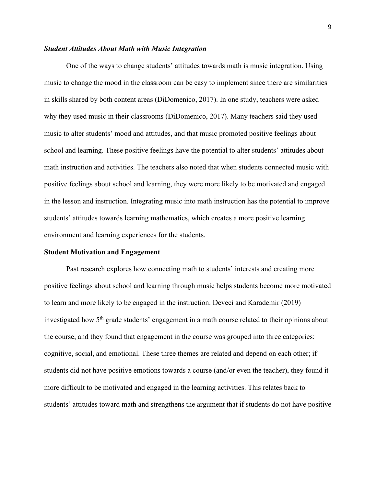#### *Student Attitudes About Math with Music Integration*

 One of the ways to change students' attitudes towards math is music integration. Using music to change the mood in the classroom can be easy to implement since there are similarities in skills shared by both content areas (DiDomenico, 2017). In one study, teachers were asked why they used music in their classrooms (DiDomenico, 2017). Many teachers said they used music to alter students' mood and attitudes, and that music promoted positive feelings about school and learning. These positive feelings have the potential to alter students' attitudes about math instruction and activities. The teachers also noted that when students connected music with positive feelings about school and learning, they were more likely to be motivated and engaged in the lesson and instruction. Integrating music into math instruction has the potential to improve students' attitudes towards learning mathematics, which creates a more positive learning environment and learning experiences for the students.

#### **Student Motivation and Engagement**

 Past research explores how connecting math to students' interests and creating more positive feelings about school and learning through music helps students become more motivated to learn and more likely to be engaged in the instruction. Deveci and Karademir (2019) investigated how 5<sup>th</sup> grade students' engagement in a math course related to their opinions about the course, and they found that engagement in the course was grouped into three categories: cognitive, social, and emotional. These three themes are related and depend on each other; if students did not have positive emotions towards a course (and/or even the teacher), they found it more difficult to be motivated and engaged in the learning activities. This relates back to students' attitudes toward math and strengthens the argument that if students do not have positive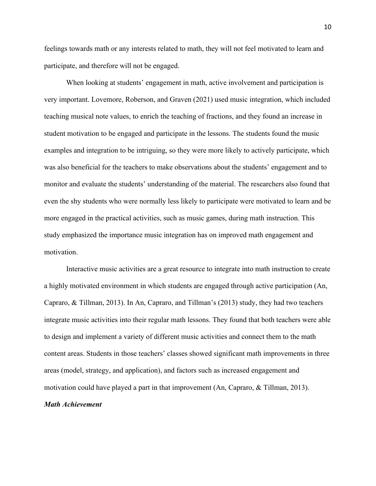feelings towards math or any interests related to math, they will not feel motivated to learn and participate, and therefore will not be engaged.

 When looking at students' engagement in math, active involvement and participation is very important. Lovemore, Roberson, and Graven (2021) used music integration, which included teaching musical note values, to enrich the teaching of fractions, and they found an increase in student motivation to be engaged and participate in the lessons. The students found the music examples and integration to be intriguing, so they were more likely to actively participate, which was also beneficial for the teachers to make observations about the students' engagement and to monitor and evaluate the students' understanding of the material. The researchers also found that even the shy students who were normally less likely to participate were motivated to learn and be more engaged in the practical activities, such as music games, during math instruction. This study emphasized the importance music integration has on improved math engagement and motivation.

Interactive music activities are a great resource to integrate into math instruction to create a highly motivated environment in which students are engaged through active participation (An, Capraro, & Tillman, 2013). In An, Capraro, and Tillman's (2013) study, they had two teachers integrate music activities into their regular math lessons. They found that both teachers were able to design and implement a variety of different music activities and connect them to the math content areas. Students in those teachers' classes showed significant math improvements in three areas (model, strategy, and application), and factors such as increased engagement and motivation could have played a part in that improvement (An, Capraro, & Tillman, 2013).

# *Math Achievement*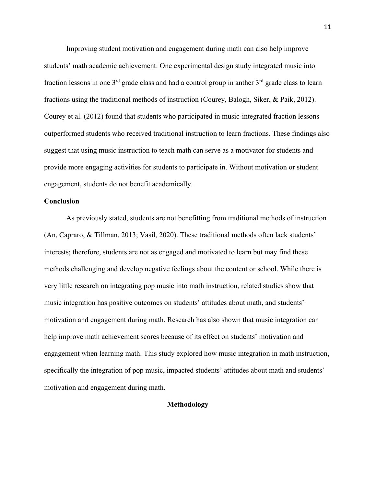Improving student motivation and engagement during math can also help improve students' math academic achievement. One experimental design study integrated music into fraction lessons in one  $3<sup>rd</sup>$  grade class and had a control group in anther  $3<sup>rd</sup>$  grade class to learn fractions using the traditional methods of instruction (Courey, Balogh, Siker, & Paik, 2012). Courey et al. (2012) found that students who participated in music-integrated fraction lessons outperformed students who received traditional instruction to learn fractions. These findings also suggest that using music instruction to teach math can serve as a motivator for students and provide more engaging activities for students to participate in. Without motivation or student engagement, students do not benefit academically.

#### **Conclusion**

 As previously stated, students are not benefitting from traditional methods of instruction (An, Capraro, & Tillman, 2013; Vasil, 2020). These traditional methods often lack students' interests; therefore, students are not as engaged and motivated to learn but may find these methods challenging and develop negative feelings about the content or school. While there is very little research on integrating pop music into math instruction, related studies show that music integration has positive outcomes on students' attitudes about math, and students' motivation and engagement during math. Research has also shown that music integration can help improve math achievement scores because of its effect on students' motivation and engagement when learning math. This study explored how music integration in math instruction, specifically the integration of pop music, impacted students' attitudes about math and students' motivation and engagement during math.

## **Methodology**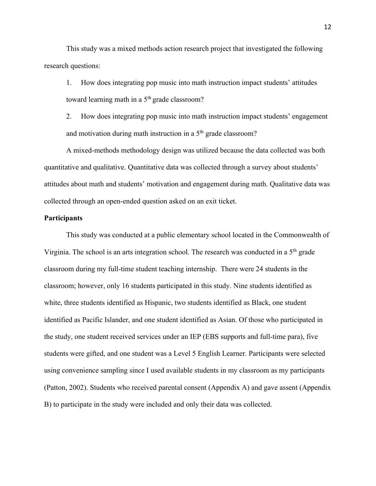This study was a mixed methods action research project that investigated the following research questions:

1. How does integrating pop music into math instruction impact students' attitudes toward learning math in a 5<sup>th</sup> grade classroom?

2. How does integrating pop music into math instruction impact students' engagement and motivation during math instruction in a  $5<sup>th</sup>$  grade classroom?

A mixed-methods methodology design was utilized because the data collected was both quantitative and qualitative. Quantitative data was collected through a survey about students' attitudes about math and students' motivation and engagement during math. Qualitative data was collected through an open-ended question asked on an exit ticket.

### **Participants**

This study was conducted at a public elementary school located in the Commonwealth of Virginia. The school is an arts integration school. The research was conducted in a 5th grade classroom during my full-time student teaching internship. There were 24 students in the classroom; however, only 16 students participated in this study. Nine students identified as white, three students identified as Hispanic, two students identified as Black, one student identified as Pacific Islander, and one student identified as Asian. Of those who participated in the study, one student received services under an IEP (EBS supports and full-time para), five students were gifted, and one student was a Level 5 English Learner. Participants were selected using convenience sampling since I used available students in my classroom as my participants (Patton, 2002). Students who received parental consent (Appendix A) and gave assent (Appendix B) to participate in the study were included and only their data was collected.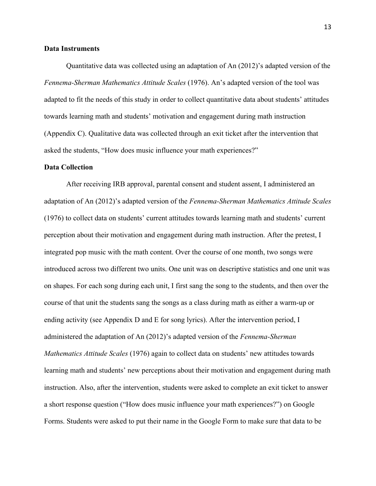#### **Data Instruments**

Quantitative data was collected using an adaptation of An (2012)'s adapted version of the *Fennema-Sherman Mathematics Attitude Scales* (1976). An's adapted version of the tool was adapted to fit the needs of this study in order to collect quantitative data about students' attitudes towards learning math and students' motivation and engagement during math instruction (Appendix C). Qualitative data was collected through an exit ticket after the intervention that asked the students, "How does music influence your math experiences?"

#### **Data Collection**

 After receiving IRB approval, parental consent and student assent, I administered an adaptation of An (2012)'s adapted version of the *Fennema-Sherman Mathematics Attitude Scales*  (1976) to collect data on students' current attitudes towards learning math and students' current perception about their motivation and engagement during math instruction. After the pretest, I integrated pop music with the math content. Over the course of one month, two songs were introduced across two different two units. One unit was on descriptive statistics and one unit was on shapes. For each song during each unit, I first sang the song to the students, and then over the course of that unit the students sang the songs as a class during math as either a warm-up or ending activity (see Appendix D and E for song lyrics). After the intervention period, I administered the adaptation of An (2012)'s adapted version of the *Fennema-Sherman Mathematics Attitude Scales* (1976) again to collect data on students' new attitudes towards learning math and students' new perceptions about their motivation and engagement during math instruction. Also, after the intervention, students were asked to complete an exit ticket to answer a short response question ("How does music influence your math experiences?") on Google Forms. Students were asked to put their name in the Google Form to make sure that data to be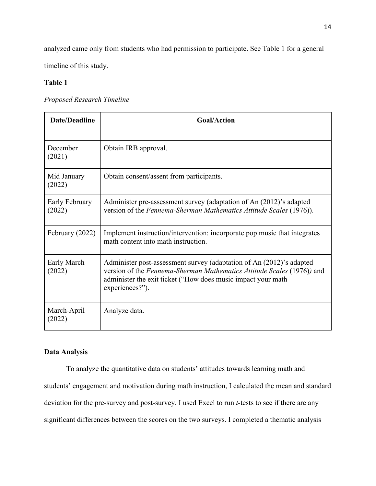analyzed came only from students who had permission to participate. See Table 1 for a general timeline of this study.

# **Table 1**

*Proposed Research Timeline*

| <b>Date/Deadline</b>     | <b>Goal/Action</b>                                                                                                                                                                                                                |
|--------------------------|-----------------------------------------------------------------------------------------------------------------------------------------------------------------------------------------------------------------------------------|
| December<br>(2021)       | Obtain IRB approval.                                                                                                                                                                                                              |
| Mid January<br>(2022)    | Obtain consent/assent from participants.                                                                                                                                                                                          |
| Early February<br>(2022) | Administer pre-assessment survey (adaptation of An (2012)'s adapted<br>version of the Fennema-Sherman Mathematics Attitude Scales (1976)).                                                                                        |
| February (2022)          | Implement instruction/intervention: incorporate pop music that integrates<br>math content into math instruction.                                                                                                                  |
| Early March<br>(2022)    | Administer post-assessment survey (adaptation of An (2012)'s adapted<br>version of the Fennema-Sherman Mathematics Attitude Scales (1976)) and<br>administer the exit ticket ("How does music impact your math<br>experiences?"). |
| March-April<br>(2022)    | Analyze data.                                                                                                                                                                                                                     |

# **Data Analysis**

To analyze the quantitative data on students' attitudes towards learning math and students' engagement and motivation during math instruction, I calculated the mean and standard deviation for the pre-survey and post-survey. I used Excel to run *t-*tests to see if there are any significant differences between the scores on the two surveys. I completed a thematic analysis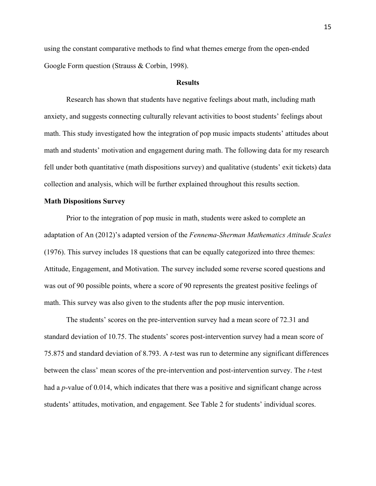using the constant comparative methods to find what themes emerge from the open-ended Google Form question (Strauss & Corbin, 1998).

#### **Results**

Research has shown that students have negative feelings about math, including math anxiety, and suggests connecting culturally relevant activities to boost students' feelings about math. This study investigated how the integration of pop music impacts students' attitudes about math and students' motivation and engagement during math. The following data for my research fell under both quantitative (math dispositions survey) and qualitative (students' exit tickets) data collection and analysis, which will be further explained throughout this results section.

#### **Math Dispositions Survey**

Prior to the integration of pop music in math, students were asked to complete an adaptation of An (2012)'s adapted version of the *Fennema-Sherman Mathematics Attitude Scales*  (1976). This survey includes 18 questions that can be equally categorized into three themes: Attitude, Engagement, and Motivation. The survey included some reverse scored questions and was out of 90 possible points, where a score of 90 represents the greatest positive feelings of math. This survey was also given to the students after the pop music intervention.

The students' scores on the pre-intervention survey had a mean score of 72.31 and standard deviation of 10.75. The students' scores post-intervention survey had a mean score of 75.875 and standard deviation of 8.793. A *t*-test was run to determine any significant differences between the class' mean scores of the pre-intervention and post-intervention survey. The *t*-test had a *p*-value of 0.014, which indicates that there was a positive and significant change across students' attitudes, motivation, and engagement. See Table 2 for students' individual scores.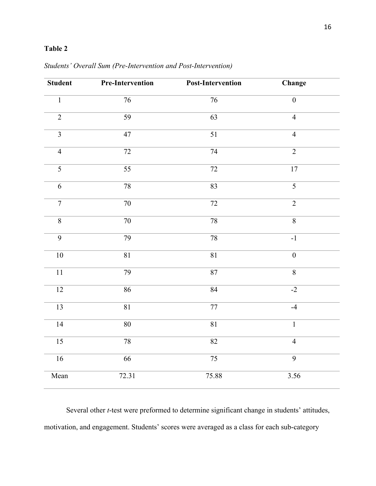# **Table 2**

| <b>Student</b>  | Pre-Intervention         | Post-Intervention | Change            |
|-----------------|--------------------------|-------------------|-------------------|
| $\overline{1}$  | $\overline{76}$          | $\overline{76}$   | $\overline{0}$    |
| $\overline{2}$  | $\overline{59}$          | $\overline{63}$   | $\overline{4}$    |
| $\overline{3}$  | 47                       | $\overline{51}$   | $\overline{4}$    |
| $\overline{4}$  | $\overline{72}$          | 74                | $\overline{2}$    |
| $\overline{5}$  | $\overline{55}$          | 72                | $\overline{17}$   |
| $\overline{6}$  | $\overline{78}$          | 83                | $\overline{5}$    |
| $\overline{7}$  | 70                       | 72                | $\overline{2}$    |
| $\overline{8}$  | $70\,$                   | $78\,$            | $\overline{8}$    |
| $\overline{9}$  | 79                       | $78\,$            | $-1$              |
| $10\,$          | 81                       | $\overline{81}$   | $\boldsymbol{0}$  |
| $\overline{11}$ | $\overline{79}$          | $\overline{87}$   | $\overline{8}$    |
| $\overline{12}$ | $\overline{86}$          | $\overline{84}$   | $\overline{-2}$   |
| $\overline{13}$ | $\overline{81}$          | 77                | $-4$              |
| 14              | $\overline{\textbf{80}}$ | $81\,$            | $\mathbf 1$       |
| $\overline{15}$ | 78                       | $82\,$            | $\overline{4}$    |
| $\overline{16}$ | $\overline{66}$          | $\overline{75}$   | $\overline{9}$    |
| Mean            | 72.31                    | 75.88             | $\overline{3.56}$ |

*Students' Overall Sum (Pre-Intervention and Post-Intervention)*

Several other *t*-test were preformed to determine significant change in students' attitudes, motivation, and engagement. Students' scores were averaged as a class for each sub-category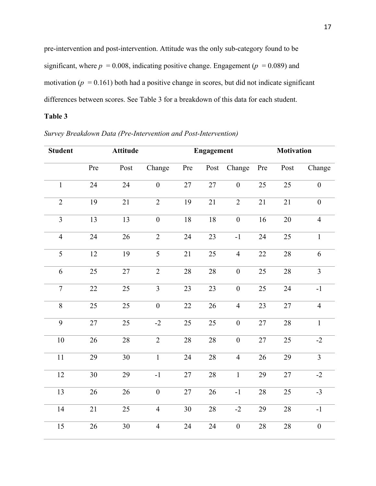pre-intervention and post-intervention. Attitude was the only sub-category found to be significant, where  $p = 0.008$ , indicating positive change. Engagement ( $p = 0.089$ ) and motivation ( $p = 0.161$ ) both had a positive change in scores, but did not indicate significant differences between scores. See Table 3 for a breakdown of this data for each student.

# **Table 3**

| <b>Student</b> |                 | <b>Attitude</b> |                  |                 | Engagement      |                  |                 | <b>Motivation</b> |                  |
|----------------|-----------------|-----------------|------------------|-----------------|-----------------|------------------|-----------------|-------------------|------------------|
|                | Pre             | Post            | Change           | Pre             | Post            | Change           | Pre             | Post              | Change           |
| $\mathbf{1}$   | 24              | 24              | $\boldsymbol{0}$ | 27              | 27              | $\boldsymbol{0}$ | 25              | 25                | $\boldsymbol{0}$ |
| $\overline{2}$ | 19              | 21              | $\overline{2}$   | 19              | 21              | $\overline{2}$   | 21              | 21                | $\overline{0}$   |
| $\overline{3}$ | $\overline{13}$ | $\overline{13}$ | $\overline{0}$   | $\overline{18}$ | $\overline{18}$ | $\boldsymbol{0}$ | 16              | 20                | $\overline{4}$   |
| $\overline{4}$ | 24              | 26              | $\overline{2}$   | 24              | 23              | $-1$             | 24              | 25                | $\mathbf{1}$     |
| $\overline{5}$ | 12              | $\overline{19}$ | $\overline{5}$   | 21              | $\overline{25}$ | $\overline{4}$   | 22              | $\overline{28}$   | 6                |
| 6              | 25              | 27              | $\overline{2}$   | 28              | 28              | $\boldsymbol{0}$ | 25              | 28                | $\overline{3}$   |
| $\overline{7}$ | 22              | 25              | $\overline{3}$   | 23              | 23              | $\boldsymbol{0}$ | 25              | 24                | $-1$             |
| 8              | 25              | 25              | $\boldsymbol{0}$ | 22              | 26              | $\overline{4}$   | 23              | 27                | $\overline{4}$   |
| 9              | 27              | 25              | $-2$             | 25              | 25              | $\boldsymbol{0}$ | 27              | 28                | $\mathbf{1}$     |
| 10             | 26              | $\overline{28}$ | $\overline{2}$   | $\overline{28}$ | $\overline{28}$ | $\boldsymbol{0}$ | $\overline{27}$ | $\overline{25}$   | $-2$             |
| 11             | 29              | 30              | $\mathbf{1}$     | 24              | 28              | $\overline{4}$   | 26              | 29                | $\overline{3}$   |
| 12             | 30              | 29              | $-1$             | 27              | 28              | $\mathbf{1}$     | 29              | 27                | $-2$             |
| 13             | 26              | 26              | $\boldsymbol{0}$ | 27              | 26              | $-1$             | 28              | 25                | $-3$             |
| 14             | 21              | 25              | $\overline{4}$   | 30              | 28              | $-2$             | 29              | 28                | $-1$             |
| 15             | 26              | 30              | $\overline{4}$   | 24              | 24              | $\boldsymbol{0}$ | 28              | 28                | $\boldsymbol{0}$ |

*Survey Breakdown Data (Pre-Intervention and Post-Intervention)*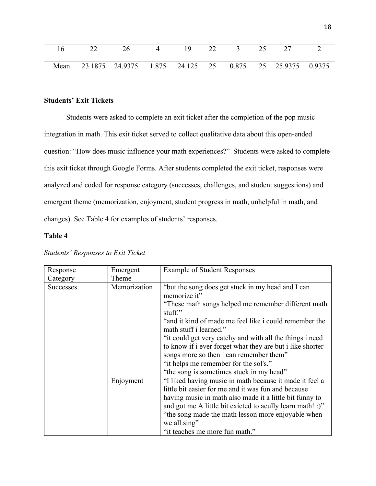|  | 26                                                           | $\overline{4}$ |  | 19 22 3 25 27 |  |  |
|--|--------------------------------------------------------------|----------------|--|---------------|--|--|
|  | Mean 23.1875 24.9375 1.875 24.125 25 0.875 25 25.9375 0.9375 |                |  |               |  |  |

# **Students' Exit Tickets**

Students were asked to complete an exit ticket after the completion of the pop music integration in math. This exit ticket served to collect qualitative data about this open-ended question: "How does music influence your math experiences?" Students were asked to complete this exit ticket through Google Forms. After students completed the exit ticket, responses were analyzed and coded for response category (successes, challenges, and student suggestions) and emergent theme (memorization, enjoyment, student progress in math, unhelpful in math, and changes). See Table 4 for examples of students' responses.

## **Table 4**

| Response         | Emergent     | <b>Example of Student Responses</b>                                                                                                                                                                                                                                                                                                                                                                                                                                              |
|------------------|--------------|----------------------------------------------------------------------------------------------------------------------------------------------------------------------------------------------------------------------------------------------------------------------------------------------------------------------------------------------------------------------------------------------------------------------------------------------------------------------------------|
| Category         | Theme        |                                                                                                                                                                                                                                                                                                                                                                                                                                                                                  |
| <b>Successes</b> | Memorization | "but the song does get stuck in my head and I can<br>memorize it"<br>"These math songs helped me remember different math<br>stuff."<br>"and it kind of made me feel like i could remember the<br>math stuff i learned."<br>"it could get very catchy and with all the things i need<br>to know if i ever forget what they are but i like shorter<br>songs more so then i can remember them"<br>"it helps me remember for the sol's."<br>"the song is sometimes stuck in my head" |
|                  | Enjoyment    | "I liked having music in math because it made it feel a<br>little bit easier for me and it was fun and because<br>having music in math also made it a little bit funny to<br>and got me A little bit exicted to acully learn math! :)"<br>"the song made the math lesson more enjoyable when<br>we all sing"<br>"it teaches me more fun math."                                                                                                                                   |

# *Students' Responses to Exit Ticket*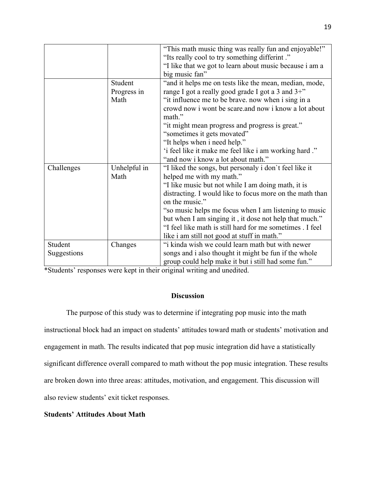|             |              | "This math music thing was really fun and enjoyable!"           |
|-------------|--------------|-----------------------------------------------------------------|
|             |              | "Its really cool to try something differint."                   |
|             |              | "I like that we got to learn about music because i am a         |
|             |              | big music fan"                                                  |
|             | Student      | "and it helps me on tests like the mean, median, mode,          |
|             | Progress in  | range I got a really good grade I got a 3 and $3+$ "            |
|             | Math         | "it influence me to be brave. now when i sing in a              |
|             |              | crowd now i wont be scare, and now i know a lot about<br>math." |
|             |              | "it might mean progress and progress is great."                 |
|             |              | "sometimes it gets movated"                                     |
|             |              | "It helps when i need help."                                    |
|             |              | 'i feel like it make me feel like i am working hard."           |
|             |              | "and now i know a lot about math."                              |
| Challenges  | Unhelpful in | "I liked the songs, but personaly i don't feel like it          |
|             | Math         | helped me with my math."                                        |
|             |              | "I like music but not while I am doing math, it is              |
|             |              | distracting. I would like to focus more on the math than        |
|             |              | on the music."                                                  |
|             |              | "so music helps me focus when I am listening to music           |
|             |              | but when I am singing it, it dose not help that much."          |
|             |              | "I feel like math is still hard for me sometimes . I feel       |
|             |              | like i am still not good at stuff in math."                     |
| Student     | Changes      | "i kinda wish we could learn math but with newer                |
| Suggestions |              | songs and i also thought it might be fun if the whole           |
|             |              | group could help make it but i still had some fun."             |

\*Students' responses were kept in their original writing and unedited.

# **Discussion**

The purpose of this study was to determine if integrating pop music into the math instructional block had an impact on students' attitudes toward math or students' motivation and engagement in math. The results indicated that pop music integration did have a statistically significant difference overall compared to math without the pop music integration. These results are broken down into three areas: attitudes, motivation, and engagement. This discussion will also review students' exit ticket responses.

# **Students' Attitudes About Math**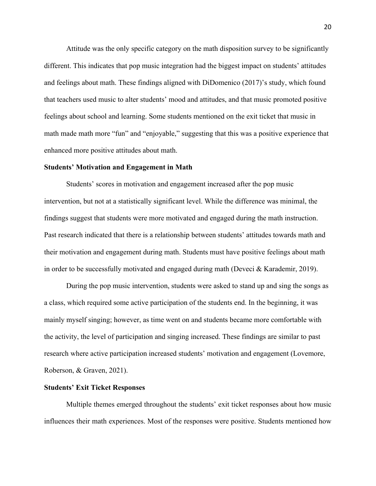Attitude was the only specific category on the math disposition survey to be significantly different. This indicates that pop music integration had the biggest impact on students' attitudes and feelings about math. These findings aligned with DiDomenico (2017)'s study, which found that teachers used music to alter students' mood and attitudes, and that music promoted positive feelings about school and learning. Some students mentioned on the exit ticket that music in math made math more "fun" and "enjoyable," suggesting that this was a positive experience that enhanced more positive attitudes about math.

#### **Students' Motivation and Engagement in Math**

Students' scores in motivation and engagement increased after the pop music intervention, but not at a statistically significant level. While the difference was minimal, the findings suggest that students were more motivated and engaged during the math instruction. Past research indicated that there is a relationship between students' attitudes towards math and their motivation and engagement during math. Students must have positive feelings about math in order to be successfully motivated and engaged during math (Deveci & Karademir, 2019).

During the pop music intervention, students were asked to stand up and sing the songs as a class, which required some active participation of the students end. In the beginning, it was mainly myself singing; however, as time went on and students became more comfortable with the activity, the level of participation and singing increased. These findings are similar to past research where active participation increased students' motivation and engagement (Lovemore, Roberson, & Graven, 2021).

#### **Students' Exit Ticket Responses**

Multiple themes emerged throughout the students' exit ticket responses about how music influences their math experiences. Most of the responses were positive. Students mentioned how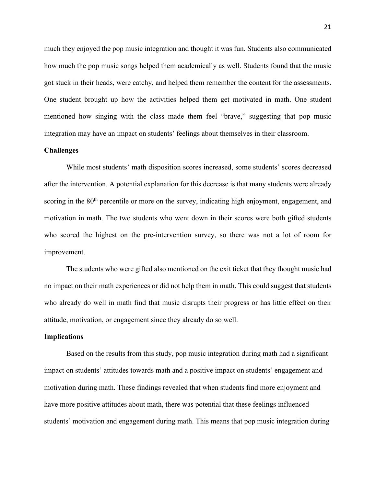much they enjoyed the pop music integration and thought it was fun. Students also communicated how much the pop music songs helped them academically as well. Students found that the music got stuck in their heads, were catchy, and helped them remember the content for the assessments. One student brought up how the activities helped them get motivated in math. One student mentioned how singing with the class made them feel "brave," suggesting that pop music integration may have an impact on students' feelings about themselves in their classroom.

#### **Challenges**

While most students' math disposition scores increased, some students' scores decreased after the intervention. A potential explanation for this decrease is that many students were already scoring in the 80<sup>th</sup> percentile or more on the survey, indicating high enjoyment, engagement, and motivation in math. The two students who went down in their scores were both gifted students who scored the highest on the pre-intervention survey, so there was not a lot of room for improvement.

The students who were gifted also mentioned on the exit ticket that they thought music had no impact on their math experiences or did not help them in math. This could suggest that students who already do well in math find that music disrupts their progress or has little effect on their attitude, motivation, or engagement since they already do so well.

#### **Implications**

Based on the results from this study, pop music integration during math had a significant impact on students' attitudes towards math and a positive impact on students' engagement and motivation during math. These findings revealed that when students find more enjoyment and have more positive attitudes about math, there was potential that these feelings influenced students' motivation and engagement during math. This means that pop music integration during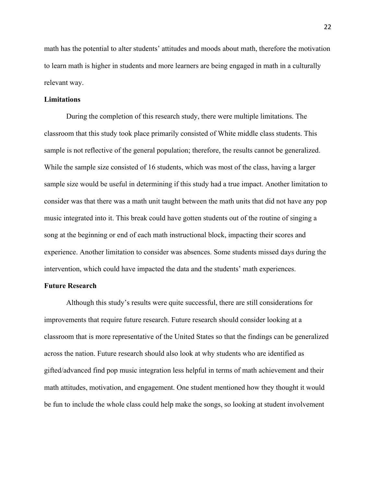math has the potential to alter students' attitudes and moods about math, therefore the motivation to learn math is higher in students and more learners are being engaged in math in a culturally relevant way.

#### **Limitations**

During the completion of this research study, there were multiple limitations. The classroom that this study took place primarily consisted of White middle class students. This sample is not reflective of the general population; therefore, the results cannot be generalized. While the sample size consisted of 16 students, which was most of the class, having a larger sample size would be useful in determining if this study had a true impact. Another limitation to consider was that there was a math unit taught between the math units that did not have any pop music integrated into it. This break could have gotten students out of the routine of singing a song at the beginning or end of each math instructional block, impacting their scores and experience. Another limitation to consider was absences. Some students missed days during the intervention, which could have impacted the data and the students' math experiences.

#### **Future Research**

Although this study's results were quite successful, there are still considerations for improvements that require future research. Future research should consider looking at a classroom that is more representative of the United States so that the findings can be generalized across the nation. Future research should also look at why students who are identified as gifted/advanced find pop music integration less helpful in terms of math achievement and their math attitudes, motivation, and engagement. One student mentioned how they thought it would be fun to include the whole class could help make the songs, so looking at student involvement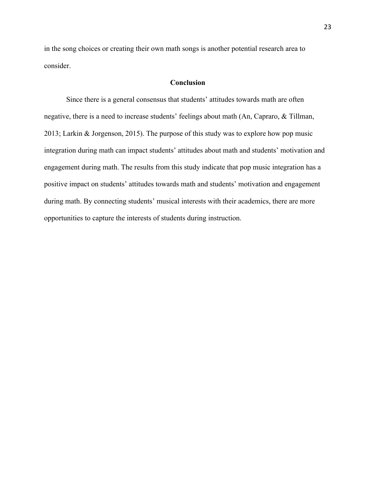in the song choices or creating their own math songs is another potential research area to consider.

### **Conclusion**

Since there is a general consensus that students' attitudes towards math are often negative, there is a need to increase students' feelings about math (An, Capraro, & Tillman, 2013; Larkin & Jorgenson, 2015). The purpose of this study was to explore how pop music integration during math can impact students' attitudes about math and students' motivation and engagement during math. The results from this study indicate that pop music integration has a positive impact on students' attitudes towards math and students' motivation and engagement during math. By connecting students' musical interests with their academics, there are more opportunities to capture the interests of students during instruction.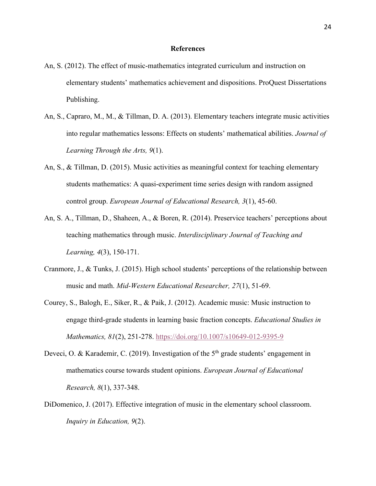#### **References**

- An, S. (2012). The effect of music-mathematics integrated curriculum and instruction on elementary students' mathematics achievement and dispositions. ProQuest Dissertations Publishing.
- An, S., Capraro, M., M., & Tillman, D. A. (2013). Elementary teachers integrate music activities into regular mathematics lessons: Effects on students' mathematical abilities. *Journal of Learning Through the Arts, 9*(1).
- An, S., & Tillman, D. (2015). Music activities as meaningful context for teaching elementary students mathematics: A quasi-experiment time series design with random assigned control group. *European Journal of Educational Research, 3*(1), 45-60.
- An, S. A., Tillman, D., Shaheen, A., & Boren, R. (2014). Preservice teachers' perceptions about teaching mathematics through music. *Interdisciplinary Journal of Teaching and Learning, 4*(3), 150-171.
- Cranmore, J., & Tunks, J. (2015). High school students' perceptions of the relationship between music and math. *Mid-Western Educational Researcher, 27*(1), 51-69.
- Courey, S., Balogh, E., Siker, R., & Paik, J. (2012). Academic music: Music instruction to engage third-grade students in learning basic fraction concepts. *Educational Studies in Mathematics, 81*(2), 251-278. https://doi.org/10.1007/s10649-012-9395-9
- Deveci, O. & Karademir, C. (2019). Investigation of the  $5<sup>th</sup>$  grade students' engagement in mathematics course towards student opinions. *European Journal of Educational Research, 8*(1), 337-348.
- DiDomenico, J. (2017). Effective integration of music in the elementary school classroom. *Inquiry in Education, 9*(2).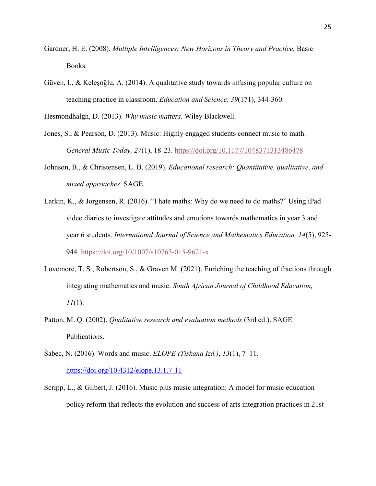- Gardner, H. E. (2008). *Multiple Intelligences: New Horizons in Theory and Practice.* Basic Books.
- Güven, I., & Keleşoğlu, A. (2014). A qualitative study towards infusing popular culture on teaching practice in classroom. *Education and Science, 39*(171), 344-360.

Hesmondhalgh, D. (2013). *Why music matters.* Wiley Blackwell.

- Jones, S., & Pearson, D. (2013). Music: Highly engaged students connect music to math. *General Music Today, 27*(1), 18-23. https://doi.org/10.1177/1048371313486478
- Johnson, B., & Christensen, L. B. (2019). *Educational research: Quantitative, qualitative, and mixed approaches*. SAGE.
- Larkin, K., & Jorgensen, R. (2016). "I hate maths: Why do we need to do maths?" Using iPad video diaries to investigate attitudes and emotions towards mathematics in year 3 and year 6 students. *International Journal of Science and Mathematics Education, 14*(5), 925- 944. https://doi.org/10/1007/s10763-015-9621-x
- Lovemore, T. S., Robertson, S., & Graven M. (2021). Enriching the teaching of fractions through integrating mathematics and music. *South African Journal of Childhood Education, 11*(1).
- Patton, M. Q. (2002). *Qualitative research and evaluation methods* (3rd ed.). SAGE Publications.
- Šabec, N. (2016). Words and music. *ELOPE (Tiskana Izd.)*, *13*(1), 7–11. https://doi.org/10.4312/elope.13.1.7-11
- Scripp, L., & Gilbert, J. (2016). Music plus music integration: A model for music education policy reform that reflects the evolution and success of arts integration practices in 21st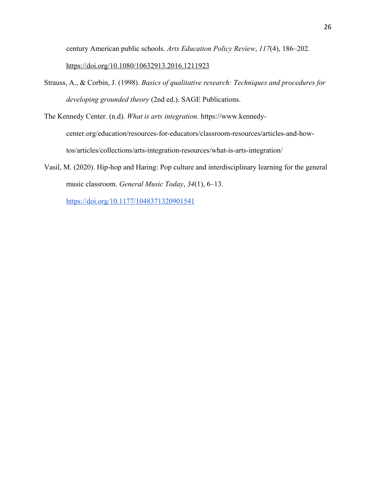century American public schools. *Arts Education Policy Review*, *117*(4), 186–202.

## https://doi.org/10.1080/10632913.2016.1211923

- Strauss, A., & Corbin, J. (1998). *Basics of qualitative research: Techniques and procedures for developing grounded theory* (2nd ed.). SAGE Publications.
- The Kennedy Center. (n.d). *What is arts integration.* https://www.kennedycenter.org/education/resources-for-educators/classroom-resources/articles-and-howtos/articles/collections/arts-integration-resources/what-is-arts-integration/
- Vasil, M. (2020). Hip-hop and Haring: Pop culture and interdisciplinary learning for the general music classroom. *General Music Today*, *34*(1), 6–13.

https://doi.org/10.1177/1048371320901541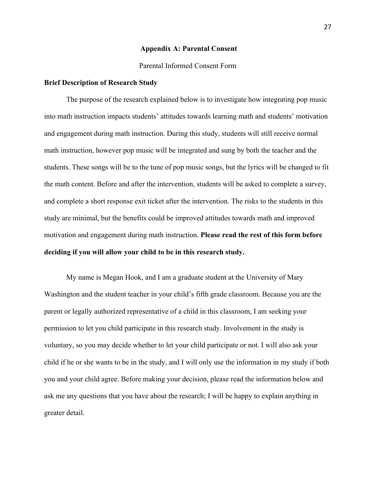#### **Appendix A: Parental Consent**

Parental Informed Consent Form

#### **Brief Description of Research Study**

The purpose of the research explained below is to investigate how integrating pop music into math instruction impacts students' attitudes towards learning math and students' motivation and engagement during math instruction. During this study, students will still receive normal math instruction, however pop music will be integrated and sung by both the teacher and the students. These songs will be to the tune of pop music songs, but the lyrics will be changed to fit the math content. Before and after the intervention, students will be asked to complete a survey, and complete a short response exit ticket after the intervention. The risks to the students in this study are minimal, but the benefits could be improved attitudes towards math and improved motivation and engagement during math instruction. **Please read the rest of this form before deciding if you will allow your child to be in this research study.**

My name is Megan Hook, and I am a graduate student at the University of Mary Washington and the student teacher in your child's fifth grade classroom. Because you are the parent or legally authorized representative of a child in this classroom, I am seeking your permission to let you child participate in this research study. Involvement in the study is voluntary, so you may decide whether to let your child participate or not. I will also ask your child if he or she wants to be in the study, and I will only use the information in my study if both you and your child agree. Before making your decision, please read the information below and ask me any questions that you have about the research; I will be happy to explain anything in greater detail.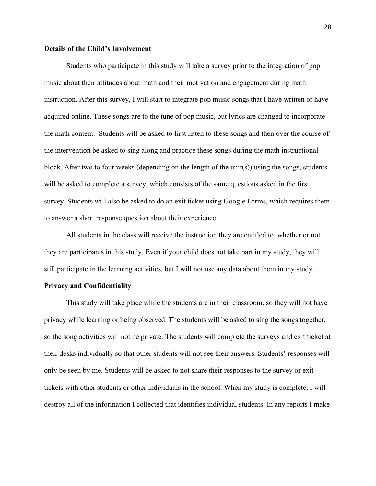### **Details of the Child's Involvement**

Students who participate in this study will take a survey prior to the integration of pop music about their attitudes about math and their motivation and engagement during math instruction. After this survey, I will start to integrate pop music songs that I have written or have acquired online. These songs are to the tune of pop music, but lyrics are changed to incorporate the math content. Students will be asked to first listen to these songs and then over the course of the intervention be asked to sing along and practice these songs during the math instructional block. After two to four weeks (depending on the length of the unit(s)) using the songs, students will be asked to complete a survey, which consists of the same questions asked in the first survey. Students will also be asked to do an exit ticket using Google Forms, which requires them to answer a short response question about their experience.

All students in the class will receive the instruction they are entitled to, whether or not they are participants in this study. Even if your child does not take part in my study, they will still participate in the learning activities, but I will not use any data about them in my study.

#### **Privacy and Confidentiality**

This study will take place while the students are in their classroom, so they will not have privacy while learning or being observed. The students will be asked to sing the songs together, so the song activities will not be private. The students will complete the surveys and exit ticket at their desks individually so that other students will not see their answers. Students' responses will only be seen by me. Students will be asked to not share their responses to the survey or exit tickets with other students or other individuals in the school. When my study is complete, I will destroy all of the information I collected that identifies individual students. In any reports I make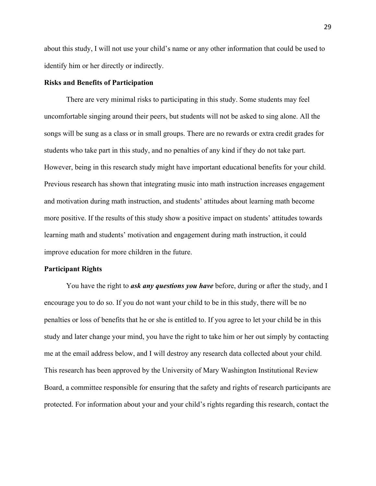about this study, I will not use your child's name or any other information that could be used to identify him or her directly or indirectly.

#### **Risks and Benefits of Participation**

There are very minimal risks to participating in this study. Some students may feel uncomfortable singing around their peers, but students will not be asked to sing alone. All the songs will be sung as a class or in small groups. There are no rewards or extra credit grades for students who take part in this study, and no penalties of any kind if they do not take part. However, being in this research study might have important educational benefits for your child. Previous research has shown that integrating music into math instruction increases engagement and motivation during math instruction, and students' attitudes about learning math become more positive. If the results of this study show a positive impact on students' attitudes towards learning math and students' motivation and engagement during math instruction, it could improve education for more children in the future.

#### **Participant Rights**

You have the right to *ask any questions you have* before, during or after the study, and I encourage you to do so. If you do not want your child to be in this study, there will be no penalties or loss of benefits that he or she is entitled to. If you agree to let your child be in this study and later change your mind, you have the right to take him or her out simply by contacting me at the email address below, and I will destroy any research data collected about your child. This research has been approved by the University of Mary Washington Institutional Review Board, a committee responsible for ensuring that the safety and rights of research participants are protected. For information about your and your child's rights regarding this research, contact the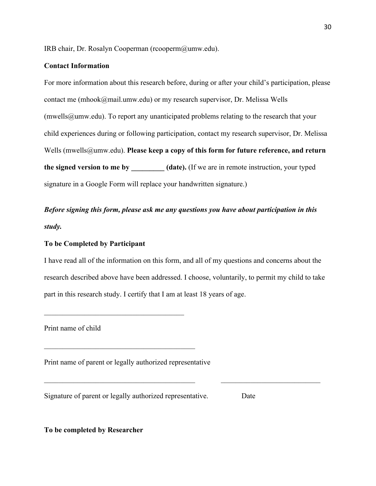IRB chair, Dr. Rosalyn Cooperman (rcooperm@umw.edu).

# **Contact Information**

For more information about this research before, during or after your child's participation, please contact me (mhook@mail.umw.edu) or my research supervisor, Dr. Melissa Wells (mwells@umw.edu). To report any unanticipated problems relating to the research that your child experiences during or following participation, contact my research supervisor, Dr. Melissa Wells (mwells@umw.edu). **Please keep a copy of this form for future reference, and return the signed version to me by** (date). (If we are in remote instruction, your typed signature in a Google Form will replace your handwritten signature.)

*Before signing this form, please ask me any questions you have about participation in this study.* 

## **To be Completed by Participant**

I have read all of the information on this form, and all of my questions and concerns about the research described above have been addressed. I choose, voluntarily, to permit my child to take part in this research study. I certify that I am at least 18 years of age.

Print name of child

Print name of parent or legally authorized representative

Signature of parent or legally authorized representative. Date

**To be completed by Researcher**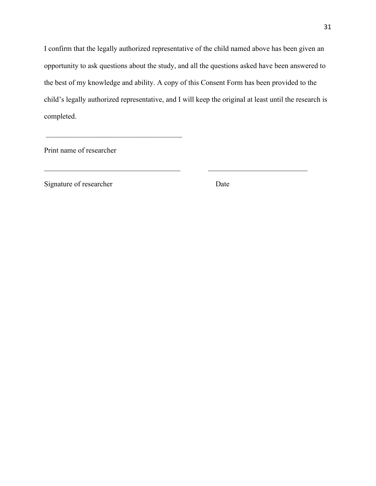I confirm that the legally authorized representative of the child named above has been given an opportunity to ask questions about the study, and all the questions asked have been answered to the best of my knowledge and ability. A copy of this Consent Form has been provided to the child's legally authorized representative, and I will keep the original at least until the research is completed.

Print name of researcher

Signature of researcher Date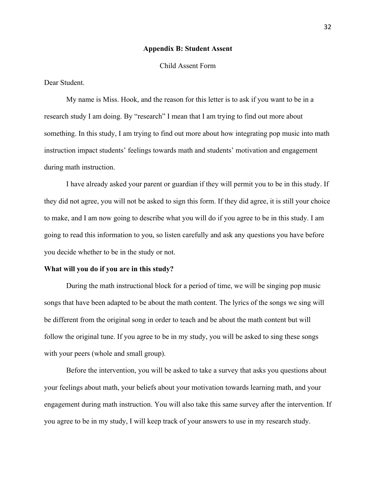#### **Appendix B: Student Assent**

#### Child Assent Form

Dear Student.

My name is Miss. Hook, and the reason for this letter is to ask if you want to be in a research study I am doing. By "research" I mean that I am trying to find out more about something. In this study, I am trying to find out more about how integrating pop music into math instruction impact students' feelings towards math and students' motivation and engagement during math instruction.

I have already asked your parent or guardian if they will permit you to be in this study. If they did not agree, you will not be asked to sign this form. If they did agree, it is still your choice to make, and I am now going to describe what you will do if you agree to be in this study. I am going to read this information to you, so listen carefully and ask any questions you have before you decide whether to be in the study or not.

#### **What will you do if you are in this study?**

During the math instructional block for a period of time, we will be singing pop music songs that have been adapted to be about the math content. The lyrics of the songs we sing will be different from the original song in order to teach and be about the math content but will follow the original tune. If you agree to be in my study, you will be asked to sing these songs with your peers (whole and small group).

Before the intervention, you will be asked to take a survey that asks you questions about your feelings about math, your beliefs about your motivation towards learning math, and your engagement during math instruction. You will also take this same survey after the intervention. If you agree to be in my study, I will keep track of your answers to use in my research study.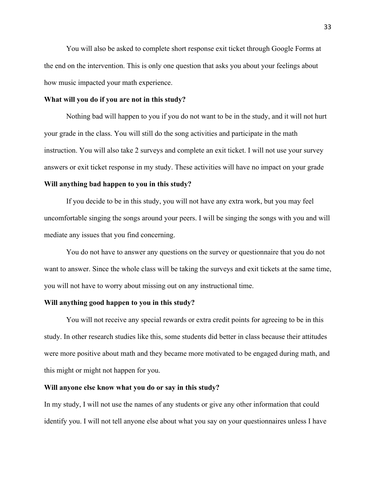You will also be asked to complete short response exit ticket through Google Forms at the end on the intervention. This is only one question that asks you about your feelings about how music impacted your math experience.

#### **What will you do if you are not in this study?**

Nothing bad will happen to you if you do not want to be in the study, and it will not hurt your grade in the class. You will still do the song activities and participate in the math instruction. You will also take 2 surveys and complete an exit ticket. I will not use your survey answers or exit ticket response in my study. These activities will have no impact on your grade

#### **Will anything bad happen to you in this study?**

If you decide to be in this study, you will not have any extra work, but you may feel uncomfortable singing the songs around your peers. I will be singing the songs with you and will mediate any issues that you find concerning.

You do not have to answer any questions on the survey or questionnaire that you do not want to answer. Since the whole class will be taking the surveys and exit tickets at the same time, you will not have to worry about missing out on any instructional time.

# **Will anything good happen to you in this study?**

You will not receive any special rewards or extra credit points for agreeing to be in this study. In other research studies like this, some students did better in class because their attitudes were more positive about math and they became more motivated to be engaged during math, and this might or might not happen for you.

#### **Will anyone else know what you do or say in this study?**

In my study, I will not use the names of any students or give any other information that could identify you. I will not tell anyone else about what you say on your questionnaires unless I have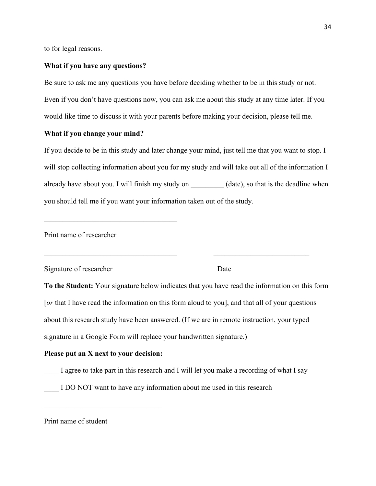to for legal reasons.

#### **What if you have any questions?**

Be sure to ask me any questions you have before deciding whether to be in this study or not. Even if you don't have questions now, you can ask me about this study at any time later. If you would like time to discuss it with your parents before making your decision, please tell me.

#### **What if you change your mind?**

If you decide to be in this study and later change your mind, just tell me that you want to stop. I will stop collecting information about you for my study and will take out all of the information I already have about you. I will finish my study on  $(date)$ , so that is the deadline when you should tell me if you want your information taken out of the study.

Print name of researcher

Signature of researcher Date

**To the Student:** Your signature below indicates that you have read the information on this form [*or* that I have read the information on this form aloud to you], and that all of your questions about this research study have been answered. (If we are in remote instruction, your typed signature in a Google Form will replace your handwritten signature.)

#### **Please put an X next to your decision:**

I agree to take part in this research and I will let you make a recording of what I say

I DO NOT want to have any information about me used in this research

Print name of student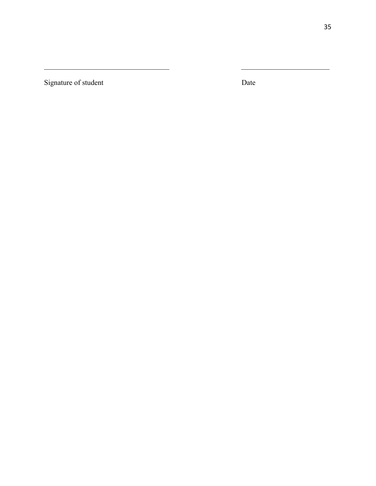Signature of student

Date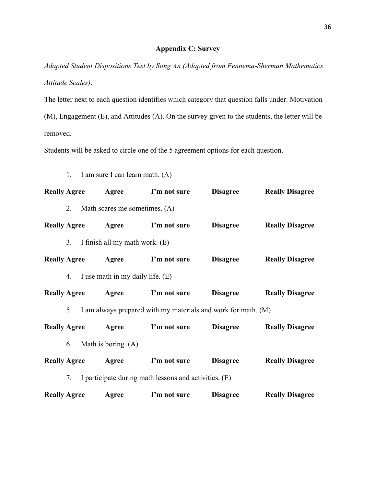*Adapted Student Dispositions Test by Song An (Adapted from Fennema-Sherman Mathematics Attitude Scales)*.

The letter next to each question identifies which category that question falls under: Motivation (M), Engagement (E), and Attitudes (A). On the survey given to the students, the letter will be removed.

Students will be asked to circle one of the 5 agreement options for each question.

1. I am sure I can learn math. (A)

|                                                                  |                                     | Really Agree Agree I'm not sure                          |                 | Disagree Really Disagree |  |  |
|------------------------------------------------------------------|-------------------------------------|----------------------------------------------------------|-----------------|--------------------------|--|--|
|                                                                  | 2. Math scares me sometimes. (A)    |                                                          |                 |                          |  |  |
|                                                                  | Really Agree Agree I'm not sure     |                                                          | <b>Disagree</b> | <b>Really Disagree</b>   |  |  |
|                                                                  | 3. I finish all my math work. $(E)$ |                                                          |                 |                          |  |  |
|                                                                  |                                     | Really Agree Agree I'm not sure                          | <b>Disagree</b> | <b>Really Disagree</b>   |  |  |
|                                                                  | 4. I use math in my daily life. (E) |                                                          |                 |                          |  |  |
|                                                                  |                                     | Really Agree Agree I'm not sure                          | <b>Disagree</b> | <b>Really Disagree</b>   |  |  |
| 5. I am always prepared with my materials and work for math. (M) |                                     |                                                          |                 |                          |  |  |
|                                                                  |                                     | Really Agree Agree I'm not sure                          | <b>Disagree</b> | <b>Really Disagree</b>   |  |  |
| 6. Math is boring. (A)                                           |                                     |                                                          |                 |                          |  |  |
|                                                                  |                                     | Really Agree Agree I'm not sure                          | <b>Disagree</b> | <b>Really Disagree</b>   |  |  |
|                                                                  |                                     | 7. I participate during math lessons and activities. (E) |                 |                          |  |  |
|                                                                  |                                     | Really Agree Agree I'm not sure                          | <b>Disagree</b> | <b>Really Disagree</b>   |  |  |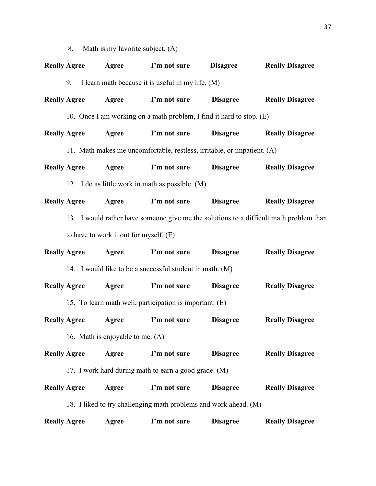8. Math is my favorite subject. (A)

|                     | <b>Really Agree</b> | Agree I'm not sure                     |                                                                         | <b>Disagree</b> | <b>Really Disagree</b>                                                                 |
|---------------------|---------------------|----------------------------------------|-------------------------------------------------------------------------|-----------------|----------------------------------------------------------------------------------------|
|                     | 9.                  |                                        | I learn math because it is useful in my life. (M)                       |                 |                                                                                        |
| <b>Really Agree</b> |                     | Agree                                  | I'm not sure                                                            | <b>Disagree</b> | <b>Really Disagree</b>                                                                 |
|                     |                     |                                        | 10. Once I am working on a math problem, I find it hard to stop. (E)    |                 |                                                                                        |
| <b>Really Agree</b> |                     | Agree                                  | I'm not sure                                                            | <b>Disagree</b> | <b>Really Disagree</b>                                                                 |
|                     |                     |                                        | 11. Math makes me uncomfortable, restless, irritable, or impatient. (A) |                 |                                                                                        |
|                     | <b>Really Agree</b> | Agree                                  | I'm not sure                                                            | <b>Disagree</b> | <b>Really Disagree</b>                                                                 |
|                     |                     |                                        | 12. I do as little work in math as possible. (M)                        |                 |                                                                                        |
|                     | <b>Really Agree</b> | Agree                                  | I'm not sure                                                            | <b>Disagree</b> | <b>Really Disagree</b>                                                                 |
|                     |                     |                                        |                                                                         |                 | 13. I would rather have someone give me the solutions to a difficult math problem than |
|                     |                     | to have to work it out for myself. (E) |                                                                         |                 |                                                                                        |
|                     | <b>Really Agree</b> | Agree                                  | I'm not sure                                                            | <b>Disagree</b> | <b>Really Disagree</b>                                                                 |
|                     |                     |                                        | 14. I would like to be a successful student in math. (M)                |                 |                                                                                        |
|                     | <b>Really Agree</b> | Agree                                  | I'm not sure                                                            | <b>Disagree</b> | <b>Really Disagree</b>                                                                 |
|                     |                     |                                        | 15. To learn math well, participation is important. (E)                 |                 |                                                                                        |
|                     | <b>Really Agree</b> | Agree                                  | I'm not sure                                                            | <b>Disagree</b> | <b>Really Disagree</b>                                                                 |
|                     |                     | 16. Math is enjoyable to me. (A)       |                                                                         |                 |                                                                                        |
| <b>Really Agree</b> |                     | Agree                                  | I'm not sure                                                            | <b>Disagree</b> | <b>Really Disagree</b>                                                                 |
|                     |                     |                                        | 17. I work hard during math to earn a good grade. (M)                   |                 |                                                                                        |
| <b>Really Agree</b> |                     | Agree                                  | I'm not sure                                                            | <b>Disagree</b> | <b>Really Disagree</b>                                                                 |
|                     |                     |                                        | 18. I liked to try challenging math problems and work ahead. (M)        |                 |                                                                                        |
| <b>Really Agree</b> |                     | Agree                                  | I'm not sure                                                            | <b>Disagree</b> | <b>Really Disagree</b>                                                                 |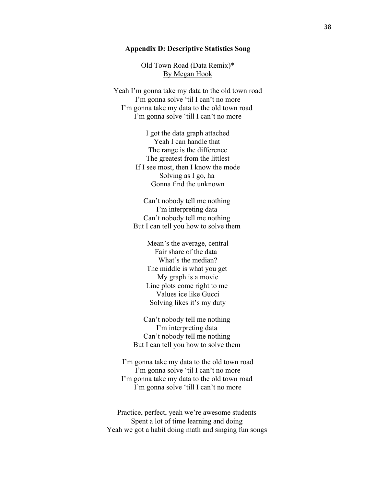#### **Appendix D: Descriptive Statistics Song**

# Old Town Road (Data Remix)\* By Megan Hook

Yeah I'm gonna take my data to the old town road I'm gonna solve 'til I can't no more I'm gonna take my data to the old town road I'm gonna solve 'till I can't no more

> I got the data graph attached Yeah I can handle that The range is the difference The greatest from the littlest If I see most, then I know the mode Solving as I go, ha Gonna find the unknown

Can't nobody tell me nothing I'm interpreting data Can't nobody tell me nothing But I can tell you how to solve them

> Mean's the average, central Fair share of the data What's the median? The middle is what you get My graph is a movie Line plots come right to me Values ice like Gucci Solving likes it's my duty

Can't nobody tell me nothing I'm interpreting data Can't nobody tell me nothing But I can tell you how to solve them

I'm gonna take my data to the old town road I'm gonna solve 'til I can't no more I'm gonna take my data to the old town road I'm gonna solve 'till I can't no more

Practice, perfect, yeah we're awesome students Spent a lot of time learning and doing Yeah we got a habit doing math and singing fun songs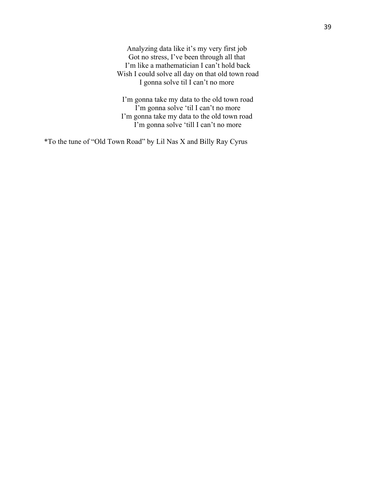Analyzing data like it's my very first job Got no stress, I've been through all that I'm like a mathematician I can't hold back Wish I could solve all day on that old town road I gonna solve til I can't no more

I'm gonna take my data to the old town road I'm gonna solve 'til I can't no more I'm gonna take my data to the old town road I'm gonna solve 'till I can't no more

\*To the tune of "Old Town Road" by Lil Nas X and Billy Ray Cyrus